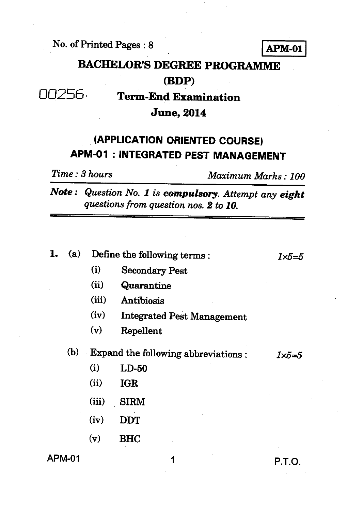No. of Printed Pages : 8 **APM-01** 

# **BACHELOR'S DEGREE PROGRAMME**

### **(BDP)**

## 00256 **Term-End Examination**

#### **June, 2014**

### **(APPLICATION ORIENTED COURSE) APM-01 : INTEGRATED PEST MANAGEMENT**

*Time : 3 hours Maximum Marks : 100* 

*Note : Question No. 1 is compulsory. Attempt any eight questions from question nos. 2 to 10.* 

| ı.     | (a) |                                     | Define the following terms:       | $1\times 5=f$ |
|--------|-----|-------------------------------------|-----------------------------------|---------------|
|        |     | (i)                                 | <b>Secondary Pest</b>             |               |
|        |     | (ii)                                | Quarantine                        |               |
|        |     | (iii)                               | Antibiosis                        |               |
|        |     | (iv)                                | <b>Integrated Pest Management</b> |               |
|        |     | (v)                                 | Repellent                         |               |
|        | (b) | Expand the following abbreviations: | 1×5=5                             |               |
|        |     | (i)                                 | $LD-50$                           |               |
|        |     | (ii)                                | <b>IGR</b>                        |               |
|        |     | (iii)                               | <b>SIRM</b>                       |               |
|        |     | (iv)                                | <b>DDT</b>                        |               |
|        |     | (v)                                 | <b>BHC</b>                        |               |
| APM-01 |     |                                     |                                   | P.T.O.        |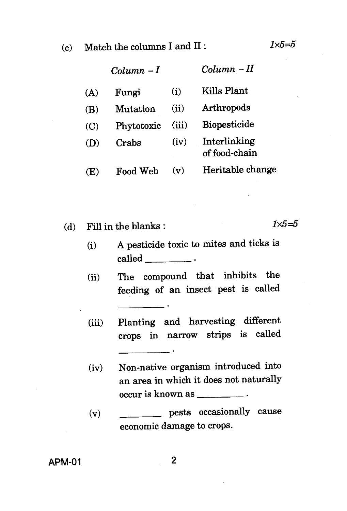(c) Match the columns I and II :  $1 \times 5 = 5$ 

|     | $Column - I$ |       | $Column - II$                 |
|-----|--------------|-------|-------------------------------|
| (A) | Fungi        | (i)   | Kills Plant                   |
| (B) | Mutation     | (ii)  | Arthropods                    |
| (C) | Phytotoxic   | (iii) | <b>Biopesticide</b>           |
| (D) | Crabs        | (iv)  | Interlinking<br>of food-chain |
| (E) | Food Web     | (v)   | Heritable change              |

(d) Fill in the blanks :  $1 \times 5 = 5$ 

- (i) A pesticide toxic to mites and ticks is called
- (ii) The compound that inhibits the feeding of an insect pest is called
- (iii) Planting and harvesting different crops in narrow strips is called
- (iv) Non-native organism introduced into an area in which it does not naturally occur is known as
- (v) pests occasionally cause economic damage to crops.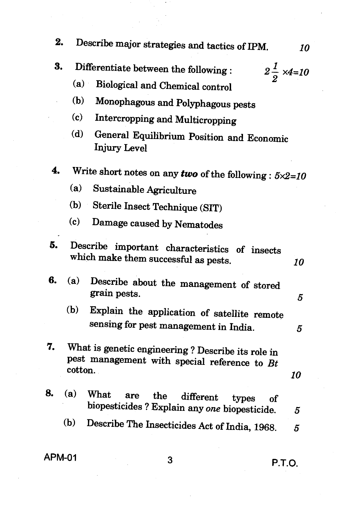**2. Describe major strategies and tactics of IPM.** *10*  **3.** Differentiate between the following :  $2\frac{1}{2} \times 4 = 10$  (a) Biological and Chemical control **(b) Monophagous and Polyphagous pests (c) Intercropping and Multicropping (d) General Equilibrium Position and Economic Injury Level 4.** Write short notes on any *two* of the following :  $5 \times 2 = 10$ **(a) Sustainable Agriculture (b) Sterile Insect Technique (SIT) (c) Damage caused by Nematodes 5. Describe important characteristics of insects which make them successful as pests.** *10*  **6.** *(a)* **Describe about the management of stored grain pests.** *5*  **(b) Explain the application of satellite remote sensing for pest management in India.** *5*  **7. What is genetic engineering ? Describe its role in pest management with special reference to** *Bt*  **cotton. 8.** *(a)* **What are the different types of biopesticides ? Explain** *any one* **biopesticide.** *5*  **(b) Describe The Insecticides Act of India, 1968.** *5 10* 

**APM-01 3 P.T.O.**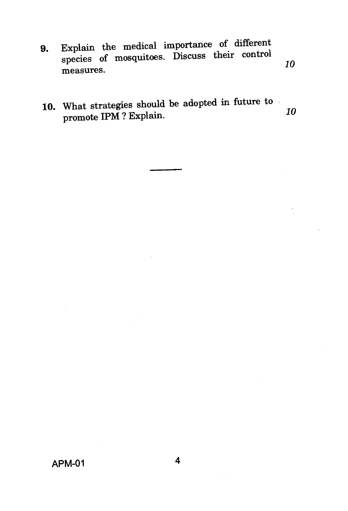9. Explain the medical importance of different species of mosquitoes. Discuss their control measures.

*10* 

10. What strategies should be adopted in future to promote IPM ? Explain. **10**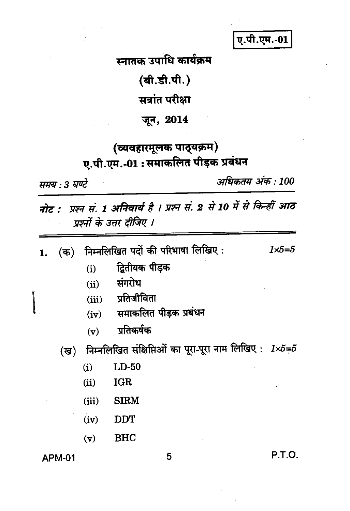ए.पी.एम.-01

स्नातक उपाधि कार्यक्रम

(बी.डी.पी.)

सत्रांत परीक्षा

जून, 2014

### (व्यवहारमूलक पाठ्यक्रम) ए.पी.एम.-01: समाकलित पीड़क प्रबंधन

समय : 3 घण्टे

अधिकतम् अंक : 100

नोट : प्रश्न सं. 1 अनिवार्य है । प्रश्न सं. 2 से 10 में से किन्हीं आठ प्रश्नों के उत्तर दीजिए ।

| 1. (क) निम्नलिखित पदों की परिभाषा लिखिए : | $1 \times 5 = 5$ |
|-------------------------------------------|------------------|
|-------------------------------------------|------------------|

- द्वितीयक पीड़क  $(i)$
- संगरोध  $(ii)$
- (iii) प्रतिजीविता
- समाकलित पीड़क प्रबंधन  $(iv)$
- प्रतिकर्षक  $(v)$
- निम्नलिखित संक्षिप्तिओं का पूरा-पूरा नाम लिखिए: 1×5=5 (ख)
	- $(i)$  $LD-50$
	- $(ii)$ **IGR**
	- $(iii)$ **SIRM**
	- $(iv)$ **DDT**
	- $(v)$ **BHC**

**APM-01** 

5

P.T.O.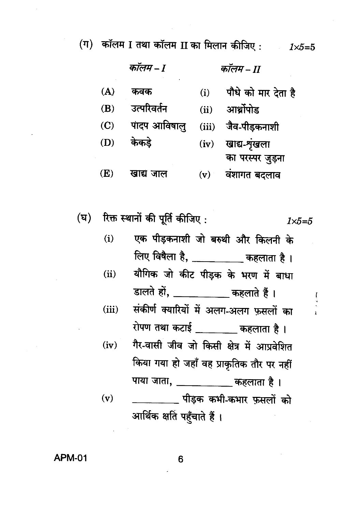(ग) कॉलम I तथा कॉलम II का मिलान कीजिए :  $1 \times 5 = 5$ 

कॉलम – ा कॉलम – II  $(A)$ पौधे को मार देता है कवक  $(i)$ उत्परिवर्तन  $(B)$  $(ii)$  आर्थोपोड  $(C)$ पादप आविषाल जैव-पीडकनाशी  $(iii)$ केकडे खाद्य-शृंखला (D)  $(iv)$ का परस्पर जुड़ना  $(E)$ वंशागत बदलाव खाद्य जाल  $(v)$ 

रिक्त स्थानों की पूर्ति कीजिए : (घ)  $1\times5=5$ 

- $(i)$ एक पीड़कनाशी जो बरुथी और किलनी के लिए विषैला है, \_\_\_\_\_\_\_\_\_ कहलाता है।
- यौगिक जो कीट पीड़क के भरण में बाधा  $(ii)$ डालते हों, \_\_\_\_\_\_\_\_\_\_ कहलाते हैं।
- संकीर्ण क्यारियों में अलग-अलग फ़सलों का  $(iii)$ रोपण तथा कटाई \_\_\_\_\_\_\_ कहलाता है।
- गैर-वासी जीव जो किसी क्षेत्र में आप्रवेशित  $(iv)$ किया गया हो जहाँ वह प्राकृतिक तौर पर नहीं

पाया जाता, \_\_\_\_\_\_\_\_\_\_\_ कहलाता है।  $(v)$ \_\_\_\_\_\_\_\_\_\_ पीड़क कभी-कभार फुसलों को आर्थिक क्षति पहुँचाते हैं ।

**APM-01** 

6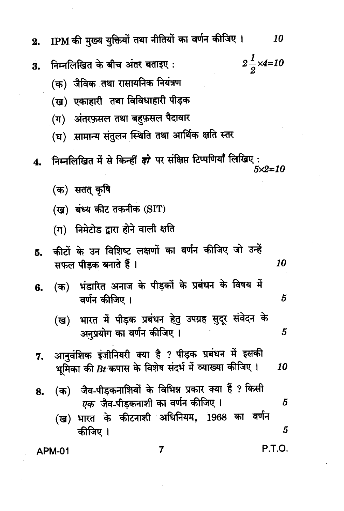IPM की मुख्य युक्तियों तथा नीतियों का वर्णन कीजिए।  $2.$ 

- निम्नलिखित के बीच अंतर बताइए: 3.
	- (क) जैविक तथा रासायनिक नियंत्रण
	- (ख) एकाहारी तथा विविधाहारी पीड़क
	- (ग) अंतरफ़सल तथा बहफ़सल पैदावार
	- (घ) सामान्य संतुलन स्थिति तथा आर्थिक क्षति स्तर
- निम्नलिखित में से किन्हीं *दो* पर संक्षिप्त टिप्पणियाँ लिखिए: 4.  $5 \times 2 = 10$ 
	- (क) सतत् कृषि
	- (ख) बंध्य कीट तकनीक (SIT)
	- (ग) निमेटोड द्वारा होने वाली क्षति
- कीटों के उन विशिष्ट लक्षणों का वर्णन कीजिए जो उन्हें Б. सफल पीडक बनाते हैं । 10
- (क) भंडारित अनाज के पीड़कों के प्रबंधन के विषय में 6. वर्णन कीजिए ।
	- भारत में पीड़क प्रबंधन हेतु उपग्रह सुदूर संवेदन के (ख) अनुप्रयोग का वर्णन कीजिए । 5
- आनुवंशिक इंजीनियरी क्या है ? पीड़क प्रबंधन में इसकी 7. भूमिका की  $Bt$  कपास के विशेष संदर्भ में व्याख्या कीजिए। 10
- (क) जैव-पीडकनाशियों के विभिन्न प्रकार क्या हैं ? किसी 8. *एक* जैव-पीड़कनाशी का वर्णन कीजिए । 5
	- भारत के कीटनाशी अधिनियम, 1968 का वर्णन (ख) 5 कीजिए ।

 $\overline{7}$ 

**APM-01** 

5

P.T.O.

 $2\frac{1}{2}$ ×4=10